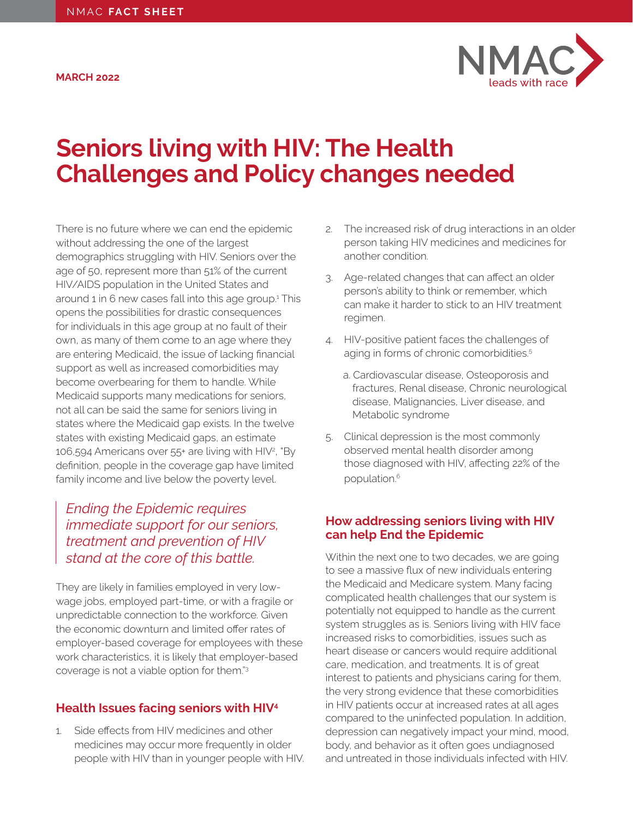<span id="page-0-0"></span>**MARCH 2022**



# **Seniors living with HIV: The Health Challenges and Policy changes needed**

There is no future where we can end the epidemic without addressing the one of the largest demographics struggling with HIV. Seniors over the age of 50, represent more than 51% of the current HIV/AIDS population in the United States and around 1 in 6 new cases fall into this age group.[1](#page-1-0) This opens the possibilities for drastic consequences for individuals in this age group at no fault of their own, as many of them come to an age where they are entering Medicaid, the issue of lacking financial support as well as increased comorbidities may become overbearing for them to handle. While Medicaid supports many medications for seniors, not all can be said the same for seniors living in states where the Medicaid gap exists. In the twelve states with existing Medicaid gaps, an estimate 106,594 Americans over 55+ are living with HI[V2](#page-1-0) , "By definition, people in the coverage gap have limited family income and live below the poverty level.

## *Ending the Epidemic requires immediate support for our seniors, treatment and prevention of HIV stand at the core of this battle.*

They are likely in families employed in very lowwage jobs, employed part-time, or with a fragile or unpredictable connection to the workforce. Given the economic downturn and limited offer rates of employer-based coverage for employees with these work characteristics, it is likely that employer-based coverage is not a viable option for them.["3](#page-1-0)

#### **Health Issues facing seniors with HI[V4](#page-1-0)**

1. Side effects from HIV medicines and other medicines may occur more frequently in older people with HIV than in younger people with HIV.

- 2. The increased risk of drug interactions in an older person taking HIV medicines and medicines for another condition.
- 3. Age-related changes that can affect an older person's ability to think or remember, which can make it harder to stick to an HIV treatment regimen.
- 4. HIV-positive patient faces the challenges of aging in forms of chronic comorbidities.[5](#page-1-0)
	- a. Cardiovascular disease, Osteoporosis and fractures, Renal disease, Chronic neurological disease, Malignancies, Liver disease, and Metabolic syndrome
- 5. Clinical depression is the most commonly observed mental health disorder among those diagnosed with HIV, affecting 22% of the population.[6](#page-1-0)

#### **How addressing seniors living with HIV can help End the Epidemic**

Within the next one to two decades, we are going to see a massive flux of new individuals entering the Medicaid and Medicare system. Many facing complicated health challenges that our system is potentially not equipped to handle as the current system struggles as is. Seniors living with HIV face increased risks to comorbidities, issues such as heart disease or cancers would require additional care, medication, and treatments. It is of great interest to patients and physicians caring for them, the very strong evidence that these comorbidities in HIV patients occur at increased rates at all ages compared to the uninfected population. In addition, depression can negatively impact your mind, mood, body, and behavior as it often goes undiagnosed and untreated in those individuals infected with HIV.